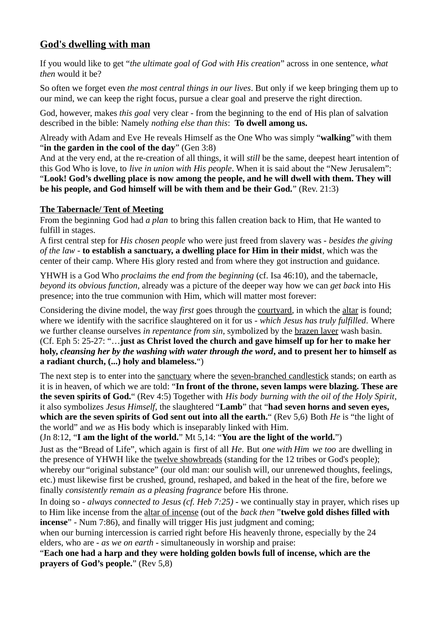# **God's dwelling with man**

If you would like to get "*the ultimate goal of God with His creation*" across in one sentence, *what then* would it be?

So often we forget even *the most central things in our lives*. But only if we keep bringing them up to our mind, we can keep the right focus, pursue a clear goal and preserve the right direction.

God, however, makes *this goal* very clear - from the beginning to the end of His plan of salvation described in the bible: Namely *nothing else than this*: **To dwell among us.**

Already with Adam and Eve He reveals Himself as the One Who was simply "**walking**"with them "**in the garden in the cool of the day**" (Gen 3:8)

And at the very end, at the re-creation of all things, it will *still* be the same, deepest heart intention of this God Who is love, to *live in union with His people*. When it is said about the "New Jerusalem": "**Look! God's dwelling place is now among the people, and he will dwell with them. They will be his people, and God himself will be with them and be their God.**" (Rev. 21:3)

# **The Tabernacle/ Tent of Meeting**

From the beginning God had *a plan* to bring this fallen creation back to Him, that He wanted to fulfill in stages.

A first central step for *His chosen people* who were just freed from slavery was - *besides the giving of the law* - **to establish a sanctuary, a dwelling place for Him in their midst**, which was the center of their camp. Where His glory rested and from where they got instruction and guidance.

YHWH is a God Who *proclaims the end from the beginning* (cf. Isa 46:10), and the tabernacle, *beyond its obvious function*, already was a picture of the deeper way how we can *get back* into His presence; into the true communion with Him, which will matter most forever:

Considering the divine model, the way *first* goes through the courtyard, in which the altar is found; where we identify with the sacrifice slaughtered on it for us - *which Jesus has truly fulfilled*. Where we further cleanse ourselves *in repentance from sin*, symbolized by the brazen laver wash basin. (Cf. Eph 5: 25-27: "…**just as Christ loved the church and gave himself up for her to make her holy,** *cleansing her by the washing with water through the word***, and to present her to himself as a radiant church, (...) holy and blameless.**")

The next step is to enter into the sanctuary where the seven-branched candlestick stands; on earth as it is in heaven, of which we are told: "**In front of the throne, seven lamps were blazing. These are the seven spirits of God.**" (Rev 4:5) Together with *His body burning with the oil of the Holy Spirit*, it also symbolizes *Jesus Himself*, the slaughtered "**Lamb**" that "**had seven horns and seven eyes, which are the seven spirits of God sent out into all the earth.**" (Rev 5,6) Both *He* is "the light of the world" and *we* as His body which is inseparably linked with Him.

# (Jn 8:12, "**I am the light of the world.**" Mt 5,14: "**You are the light of the world.**")

Just as the "Bread of Life", which again is first of all *He*. But *one with Him we too* are dwelling in the presence of YHWH like the twelve showbreads (standing for the 12 tribes or God's people); whereby our "original substance" (our old man: our soulish will, our unrenewed thoughts, feelings, etc.) must likewise first be crushed, ground, reshaped, and baked in the heat of the fire, before we finally *consistently remain as a pleasing fragrance* before His throne.

In doing so - *always connected to Jesus (cf. Heb 7:25) -* we continually stay in prayer, which rises up to Him like incense from the altar of incense (out of the *back then* "**twelve gold dishes filled with incense**" - Num 7:86), and finally will trigger His just judgment and coming;

when our burning intercession is carried right before His heavenly throne, especially by the 24 elders, who are - *as we on earth* - simultaneously in worship and praise:

"**Each one had a harp and they were holding golden bowls full of incense, which are the prayers of God's people.**" (Rev 5,8)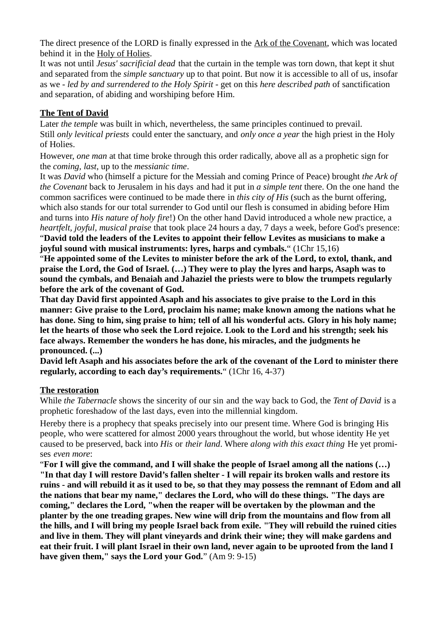The direct presence of the LORD is finally expressed in the Ark of the Covenant, which was located behind it in the Holy of Holies.

It was not until *Jesus' sacrificial dead* that the curtain in the temple was torn down, that kept it shut and separated from the *simple sanctuary* up to that point. But now it is accessible to all of us, insofar as we - *led by and surrendered to the Holy Spirit* - get on this *here described path* of sanctification and separation, of abiding and worshiping before Him.

## **The Tent of David**

Later *the temple* was built in which, nevertheless, the same principles continued to prevail. Still *only levitical priests* could enter the sanctuary, and *only once a year* the high priest in the Holy of Holies.

However, *one man* at that time broke through this order radically, above all as a prophetic sign for the *coming, last*, up to the *messianic time*.

It was *David* who (himself a picture for the Messiah and coming Prince of Peace) brought *the Ark of the Covenant* back to Jerusalem in his days and had it put in *a simple tent* there. On the one hand the common sacrifices were continued to be made there in *this city of His* (such as the burnt offering, which also stands for our total surrender to God until our flesh is consumed in abiding before Him and turns into *His nature of holy fire*!) On the other hand David introduced a whole new practice, a *heartfelt, joyful, musical praise* that took place 24 hours a day, 7 days a week, before God's presence: "**David told the leaders of the Levites to appoint their fellow Levites as musicians to make a** 

**joyful sound with musical instruments: lyres, harps and cymbals.**" (1Chr 15,16)

"**He appointed some of the Levites to minister before the ark of the Lord, to extol, thank, and praise the Lord, the God of Israel. (…) They were to play the lyres and harps, Asaph was to sound the cymbals, and Benaiah and Jahaziel the priests were to blow the trumpets regularly before the ark of the covenant of God.**

**That day David first appointed Asaph and his associates to give praise to the Lord in this manner: Give praise to the Lord, proclaim his name; make known among the nations what he has done. Sing to him, sing praise to him; tell of all his wonderful acts. Glory in his holy name; let the hearts of those who seek the Lord rejoice. Look to the Lord and his strength; seek his face always. Remember the wonders he has done, his miracles, and the judgments he pronounced. (...)**

**David left Asaph and his associates before the ark of the covenant of the Lord to minister there regularly, according to each day's requirements.**" (1Chr 16, 4-37)

### **The restoration**

While *the Tabernacle* shows the sincerity of our sin and the way back to God, the *Tent of David* is a prophetic foreshadow of the last days, even into the millennial kingdom.

Hereby there is a prophecy that speaks precisely into our present time. Where God is bringing His people, who were scattered for almost 2000 years throughout the world, but whose identity He yet caused to be preserved, back into *His* or *their land*. Where *along with this exact thing* He yet promises *even more*:

"**For I will give the command, and I will shake the people of Israel among all the nations (…) "In that day I will restore David's fallen shelter - I will repair its broken walls and restore its ruins - and will rebuild it as it used to be, so that they may possess the remnant of Edom and all the nations that bear my name," declares the Lord, who will do these things. "The days are coming," declares the Lord, "when the reaper will be overtaken by the plowman and the planter by the one treading grapes. New wine will drip from the mountains and flow from all the hills, and I will bring my people Israel back from exile. "They will rebuild the ruined cities and live in them. They will plant vineyards and drink their wine; they will make gardens and eat their fruit. I will plant Israel in their own land, never again to be uprooted from the land I have given them," says the Lord your God.**" (Am 9: 9-15)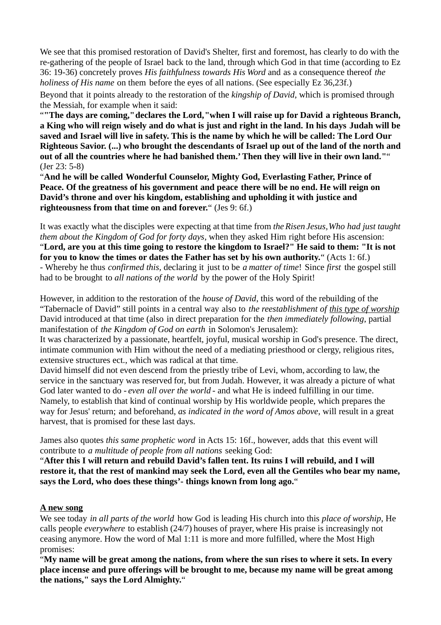We see that this promised restoration of David's Shelter, first and foremost, has clearly to do with the re-gathering of the people of Israel back to the land, through which God in that time (according to Ez 36: 19-36) concretely proves *His faithfulness towards His Word* and as a consequence thereof *the holiness of His name* on them before the eyes of all nations. (See especially Ez 36,23f.)

Beyond that it points already to the restoration of the *kingship of David*, which is promised through the Messiah, for example when it said:

"**"The days are coming,"declares the Lord,"when I will raise up for David a righteous Branch, a King who will reign wisely and do what is just and right in the land. In his days Judah will be saved and Israel will live in safety. This is the name by which he will be called: The Lord Our Righteous Savior. (...) who brought the descendants of Israel up out of the land of the north and out of all the countries where he had banished them.' Then they will live in their own land."**" (Jer 23: 5-8)

"**And he will be called Wonderful Counselor, Mighty God, Everlasting Father, Prince of Peace. Of the greatness of his government and peace there will be no end. He will reign on David's throne and over his kingdom, establishing and upholding it with justice and righteousness from that time on and forever.**" (Jes 9: 6f.)

It was exactly what the disciples were expecting at that time from *theRisen Jesus,Who had just taught them about the Kingdom of God for forty days*, when they asked Him right before His ascension: "**Lord, are you at this time going to restore the kingdom to Israel?" He said to them: "It is not for you to know the times or dates the Father has set by his own authority.**" (Acts 1: 6f.) - Whereby he thus *confirmed this,* declaring it just to be *a matter of time*! Since *first* the gospel still had to be brought to *all nations of the world* by the power of the Holy Spirit!

However, in addition to the restoration of the *house of David*, this word of the rebuilding of the "Tabernacle of David" still points in a central way also to *the reestablishment of this type of worship* David introduced at that time (also in direct preparation for the *then immediately following*, partial manifestation of *the Kingdom of God on earth* in Solomon's Jerusalem):

It was characterized by a passionate, heartfelt, joyful, musical worship in God's presence. The direct, intimate communion with Him without the need of a mediating priesthood or clergy, religious rites, extensive structures ect., which was radical at that time.

David himself did not even descend from the priestly tribe of Levi, whom, according to law, the service in the sanctuary was reserved for, but from Judah. However, it was already a picture of what God later wanted to do - *even all over the world* - and what He is indeed fulfilling in our time. Namely, to establish that kind of continual worship by His worldwide people, which prepares the way for Jesus' return; and beforehand, *as indicated in the word of Amos above*, will result in a great harvest, that is promised for these last days.

James also quotes *this same prophetic word* in Acts 15: 16f., however, adds that this event will contribute to *a multitude of people from all nations* seeking God:

"**After this I will return and rebuild David's fallen tent. Its ruins I will rebuild, and I will restore it, that the rest of mankind may seek the Lord, even all the Gentiles who bear my name, says the Lord, who does these things'- things known from long ago.**"

#### **A new song**

We see today *in all parts of the world* how God is leading His church into this *place of worship*, He calls people *everywhere* to establish (24/7) houses of prayer, where His praise is increasingly not ceasing anymore. How the word of Mal 1:11 is more and more fulfilled, where the Most High promises:

"**My name will be great among the nations, from where the sun rises to where it sets. In every place incense and pure offerings will be brought to me, because my name will be great among the nations," says the Lord Almighty.**"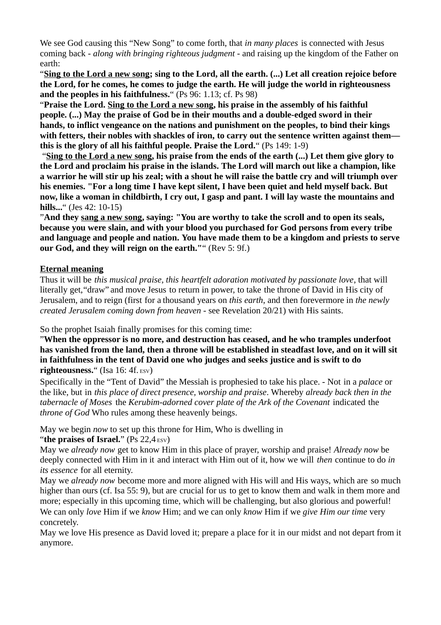We see God causing this "New Song" to come forth, that *in many places* is connected with Jesus coming back - *along with bringing righteous judgment* - and raising up the kingdom of the Father on earth:

"**Sing to the Lord a new song; sing to the Lord, all the earth. (...) Let all creation rejoice before the Lord, for he comes, he comes to judge the earth. He will judge the world in righteousness and the peoples in his faithfulness.**" (Ps 96: 1.13; cf. Ps 98)

"**Praise the Lord. Sing to the Lord a new song, his praise in the assembly of his faithful people. (...) May the praise of God be in their mouths and a double-edged sword in their hands, to inflict vengeance on the nations and punishment on the peoples, to bind their kings with fetters, their nobles with shackles of iron, to carry out the sentence written against them this is the glory of all his faithful people. Praise the Lord.**" (Ps 149: 1-9)

 "**Sing to the Lord a new song, his praise from the ends of the earth (...) Let them give glory to the Lord and proclaim his praise in the islands. The Lord will march out like a champion, like a warrior he will stir up his zeal; with a shout he will raise the battle cry and will triumph over his enemies. "For a long time I have kept silent, I have been quiet and held myself back. But now, like a woman in childbirth, I cry out, I gasp and pant. I will lay waste the mountains and hills...**" (Jes 42: 10-15)

"**And they sang a new song, saying: "You are worthy to take the scroll and to open its seals, because you were slain, and with your blood you purchased for God persons from every tribe and language and people and nation. You have made them to be a kingdom and priests to serve our God, and they will reign on the earth."**" (Rev 5: 9f.)

### **Eternal meaning**

Thus it will be *this musical praise, this heartfelt adoration motivated by passionate love*, that will literally get,"draw" and move Jesus to return in power, to take the throne of David in His city of Jerusalem, and to reign (first for a thousand years on *this earth*, and then forevermore in *the newly created Jerusalem coming down from heaven* - see Revelation 20/21) with His saints.

So the prophet Isaiah finally promises for this coming time:

"**When the oppressor is no more, and destruction has ceased, and he who tramples underfoot has vanished from the land, then a throne will be established in steadfast love, and on it will sit in faithfulness in the tent of David one who judges and seeks justice and is swift to do righteousness.**" (Isa 16: 4f. ESV)

Specifically in the "Tent of David" the Messiah is prophesied to take his place. - Not in a *palace* or the like, but in *this place of direct presence, worship and praise*. Whereby *already back then in the tabernacle of Moses* the *Kerubim-adorned cover plate of the Ark of the Covenant* indicated the *throne of God* Who rules among these heavenly beings.

May we begin *now* to set up this throne for Him, Who is dwelling in

"**the praises of Israel.**" (Ps 22,4 ESV)

May we *already now* get to know Him in this place of prayer, worship and praise! *Already now* be deeply connected with Him in it and interact with Him out of it, how we will *then* continue to do *in its essence* for all eternity.

May we *already now* become more and more aligned with His will and His ways, which are so much higher than ours (cf. Isa 55: 9), but are crucial for us to get to know them and walk in them more and more; especially in this upcoming time, which will be challenging, but also glorious and powerful! We can only *love* Him if we *know* Him; and we can only *know* Him if we *give Him our time* very concretely.

May we love His presence as David loved it; prepare a place for it in our midst and not depart from it anymore.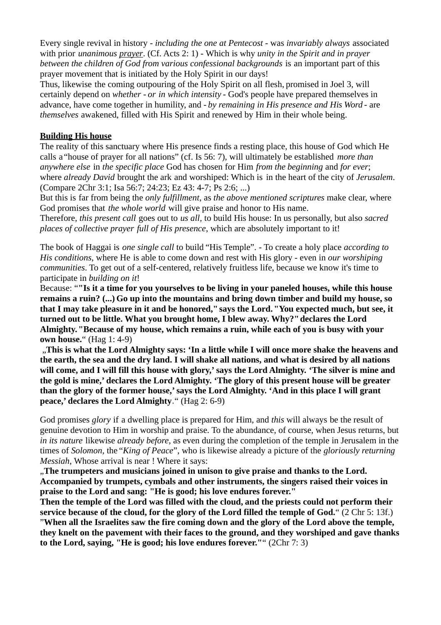Every single revival in history - *including the one at Pentecost* - was *invariably always* associated with prior *unanimous prayer*. (Cf. Acts 2: 1) - Which is why *unity in the Spirit and in prayer between the children of God from various confessional backgrounds* is an important part of this prayer movement that is initiated by the Holy Spirit in our days!

Thus, likewise the coming outpouring of the Holy Spirit on all flesh, promised in Joel 3, will certainly depend on *whether - or in which intensity* - God's people have prepared themselves in advance, have come together in humility, and - *by remaining in His presence and His Word -* are *themselves* awakened, filled with His Spirit and renewed by Him in their whole being.

#### **Building His house**

The reality of this sanctuary where His presence finds a resting place, this house of God which He calls a "house of prayer for all nations" (cf. Is 56: 7), will ultimately be established *more than anywhere else* in *the specific place* God has chosen for Him *from the beginning* and *for ever*; where *already David* brought the ark and worshiped: Which is in the heart of the city of *Jerusalem*. (Compare 2Chr 3:1; Isa 56:7; 24:23; Ez 43: 4-7; Ps 2:6; ...)

But this is far from being the *only fulfillment*, as *the above mentioned scriptures* make clear, where God promises that *the whole world* will give praise and honor to His name.

Therefore, *this present call* goes out to *us all,* to build His house: In us personally, but also *sacred places of collective prayer full of His presence*, which are absolutely important to it!

The book of Haggai is *one single call* to build "His Temple". - To create a holy place *according to His conditions*, where He is able to come down and rest with His glory - even in *our worshiping communities*. To get out of a self-centered, relatively fruitless life, because we know it's time to participate in *building on it*!

Because: "**"Is it a time for you yourselves to be living in your paneled houses, while this house remains a ruin? (...) Go up into the mountains and bring down timber and build my house, so that I may take pleasure in it and be honored," says the Lord."You expected much, but see, it turned out to be little. What you brought home, I blew away. Why?"declares the Lord Almighty."Because of my house, which remains a ruin, while each of you is busy with your own house.**" (Hag 1: 4-9)

 "**This is what the Lord Almighty says: 'In a little while I will once more shake the heavens and the earth, the sea and the dry land. I will shake all nations, and what is desired by all nations will come, and I will fill this house with glory,' says the Lord Almighty. 'The silver is mine and the gold is mine,' declares the Lord Almighty. 'The glory of this present house will be greater than the glory of the former house,' says the Lord Almighty. 'And in this place I will grant peace,' declares the Lord Almighty**." (Hag 2: 6-9)

God promises *glory* if a dwelling place is prepared for Him, and *this* will always be the result of genuine devotion to Him in worship and praise. To the abundance, of course, when Jesus returns, but *in its nature* likewise *already before*, as even during the completion of the temple in Jerusalem in the times of *Solomon*, the "*King of Peace*", who is likewise already a picture of the *gloriously returning Messiah*, Whose arrival is near ! Where it says:

"**The trumpeters and musicians joined in unison to give praise and thanks to the Lord. Accompanied by trumpets, cymbals and other instruments, the singers raised their voices in praise to the Lord and sang: "He is good; his love endures forever."**

**Then the temple of the Lord was filled with the cloud, and the priests could not perform their service because of the cloud, for the glory of the Lord filled the temple of God.**" (2 Chr 5: 13f.)

"**When all the Israelites saw the fire coming down and the glory of the Lord above the temple, they knelt on the pavement with their faces to the ground, and they worshiped and gave thanks to the Lord, saying, "He is good; his love endures forever."**" (2Chr 7: 3)